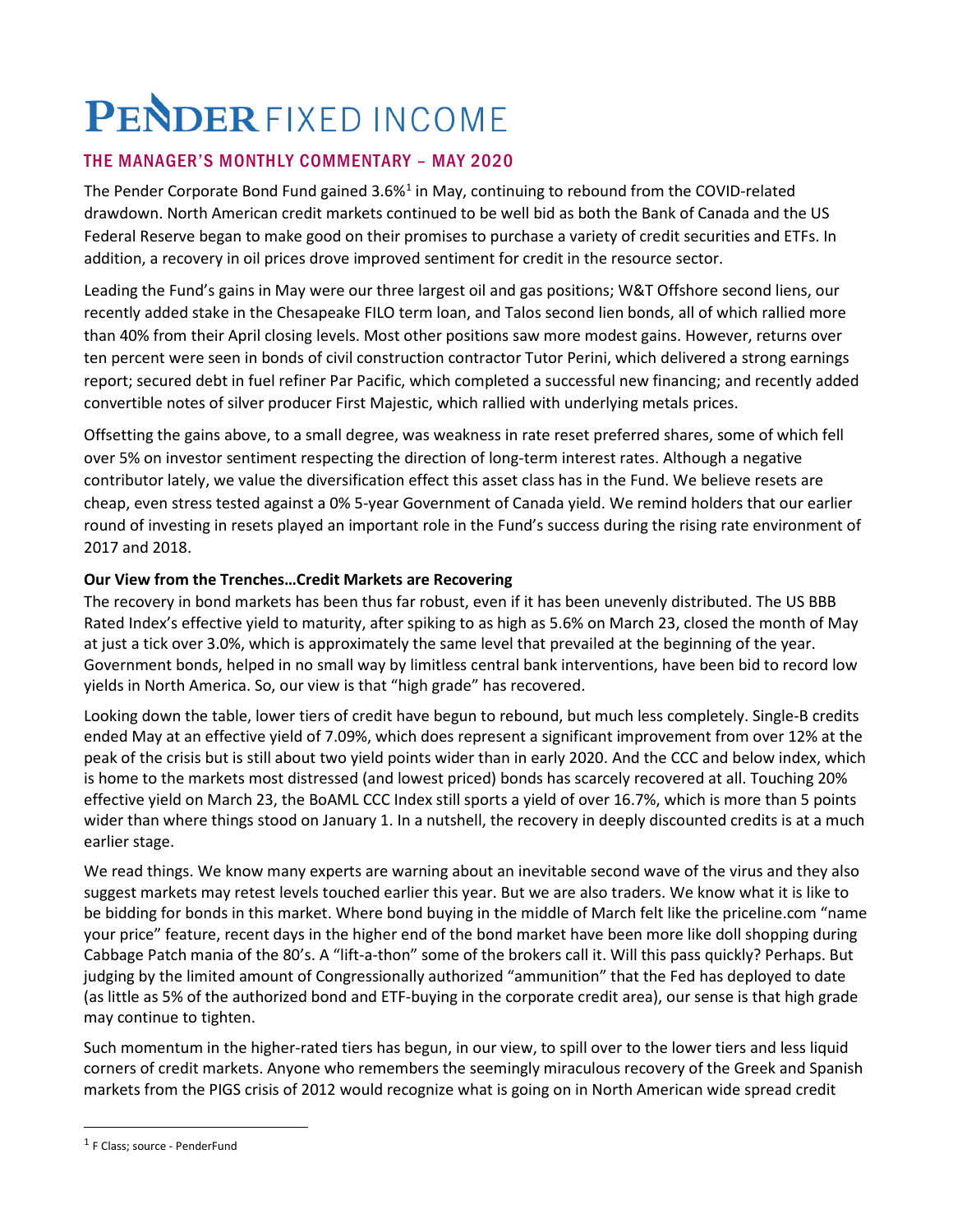# PENDER FIXED INCOME

## THE MANAGER'S MONTHLY COMMENTARY – MAY 2020

The Pender Corporate Bond Fund gained 3.6%<sup>[1](#page-0-0)</sup> in May, continuing to rebound from the COVID-related drawdown. North American credit markets continued to be well bid as both the Bank of Canada and the US Federal Reserve began to make good on their promises to purchase a variety of credit securities and ETFs. In addition, a recovery in oil prices drove improved sentiment for credit in the resource sector.

Leading the Fund's gains in May were our three largest oil and gas positions; W&T Offshore second liens, our recently added stake in the Chesapeake FILO term loan, and Talos second lien bonds, all of which rallied more than 40% from their April closing levels. Most other positions saw more modest gains. However, returns over ten percent were seen in bonds of civil construction contractor Tutor Perini, which delivered a strong earnings report; secured debt in fuel refiner Par Pacific, which completed a successful new financing; and recently added convertible notes of silver producer First Majestic, which rallied with underlying metals prices.

Offsetting the gains above, to a small degree, was weakness in rate reset preferred shares, some of which fell over 5% on investor sentiment respecting the direction of long-term interest rates. Although a negative contributor lately, we value the diversification effect this asset class has in the Fund. We believe resets are cheap, even stress tested against a 0% 5-year Government of Canada yield. We remind holders that our earlier round of investing in resets played an important role in the Fund's success during the rising rate environment of 2017 and 2018.

## **Our View from the Trenches…Credit Markets are Recovering**

The recovery in bond markets has been thus far robust, even if it has been unevenly distributed. The US BBB Rated Index's effective yield to maturity, after spiking to as high as 5.6% on March 23, closed the month of May at just a tick over 3.0%, which is approximately the same level that prevailed at the beginning of the year. Government bonds, helped in no small way by limitless central bank interventions, have been bid to record low yields in North America. So, our view is that "high grade" has recovered.

Looking down the table, lower tiers of credit have begun to rebound, but much less completely. Single-B credits ended May at an effective yield of 7.09%, which does represent a significant improvement from over 12% at the peak of the crisis but is still about two yield points wider than in early 2020. And the CCC and below index, which is home to the markets most distressed (and lowest priced) bonds has scarcely recovered at all. Touching 20% effective yield on March 23, the BoAML CCC Index still sports a yield of over 16.7%, which is more than 5 points wider than where things stood on January 1. In a nutshell, the recovery in deeply discounted credits is at a much earlier stage.

We read things. We know many experts are warning about an inevitable second wave of the virus and they also suggest markets may retest levels touched earlier this year. But we are also traders. We know what it is like to be bidding for bonds in this market. Where bond buying in the middle of March felt like the priceline.com "name your price" feature, recent days in the higher end of the bond market have been more like doll shopping during Cabbage Patch mania of the 80's. A "lift-a-thon" some of the brokers call it. Will this pass quickly? Perhaps. But judging by the limited amount of Congressionally authorized "ammunition" that the Fed has deployed to date (as little as 5% of the authorized bond and ETF-buying in the corporate credit area), our sense is that high grade may continue to tighten.

Such momentum in the higher-rated tiers has begun, in our view, to spill over to the lower tiers and less liquid corners of credit markets. Anyone who remembers the seemingly miraculous recovery of the Greek and Spanish markets from the PIGS crisis of 2012 would recognize what is going on in North American wide spread credit

<span id="page-0-0"></span><sup>1</sup> F Class; source - PenderFund